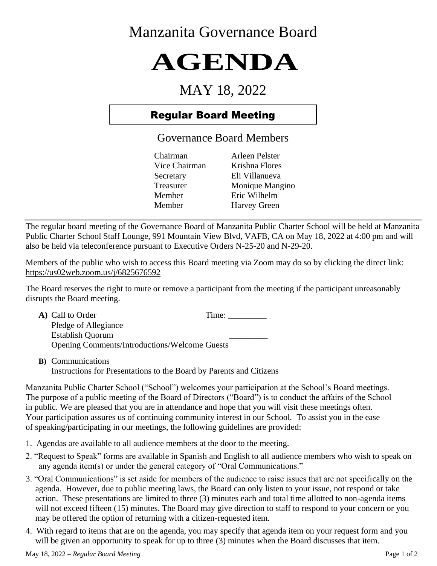## Manzanita Governance Board

# **AGENDA**

## MAY 18, 2022

### Regular Board Meeting

Governance Board Members

Chairman Arleen Pelster Vice Chairman Krishna Flores Secretary Eli Villanueva Treasurer Monique Mangino Member Eric Wilhelm Member Harvey Green

The regular board meeting of the Governance Board of Manzanita Public Charter School will be held at Manzanita Public Charter School Staff Lounge, 991 Mountain View Blvd, VAFB, CA on May 18, 2022 at 4:00 pm and will also be held via teleconference pursuant to Executive Orders N-25-20 and N-29-20.

Members of the public who wish to access this Board meeting via Zoom may do so by clicking the direct link: https://us02web.zoom.us/j/6825676592

The Board reserves the right to mute or remove a participant from the meeting if the participant unreasonably disrupts the Board meeting.

| A) Call to Order                                     | Time: |
|------------------------------------------------------|-------|
| Pledge of Allegiance                                 |       |
| <b>Establish Quorum</b>                              |       |
| <b>Opening Comments/Introductions/Welcome Guests</b> |       |

**B)** Communications Instructions for Presentations to the Board by Parents and Citizens

Manzanita Public Charter School ("School") welcomes your participation at the School's Board meetings. The purpose of a public meeting of the Board of Directors ("Board") is to conduct the affairs of the School in public. We are pleased that you are in attendance and hope that you will visit these meetings often. Your participation assures us of continuing community interest in our School. To assist you in the ease of speaking/participating in our meetings, the following guidelines are provided:

- 1. Agendas are available to all audience members at the door to the meeting.
- 2. "Request to Speak" forms are available in Spanish and English to all audience members who wish to speak on any agenda item(s) or under the general category of "Oral Communications."
- 3. "Oral Communications" is set aside for members of the audience to raise issues that are not specifically on the agenda. However, due to public meeting laws, the Board can only listen to your issue, not respond or take action. These presentations are limited to three (3) minutes each and total time allotted to non-agenda items will not exceed fifteen (15) minutes. The Board may give direction to staff to respond to your concern or you may be offered the option of returning with a citizen-requested item.
- 4. With regard to items that are on the agenda, you may specify that agenda item on your request form and you will be given an opportunity to speak for up to three  $(3)$  minutes when the Board discusses that item.

May 18, 2022 – *Regular Board Meeting* Page 1 of 2